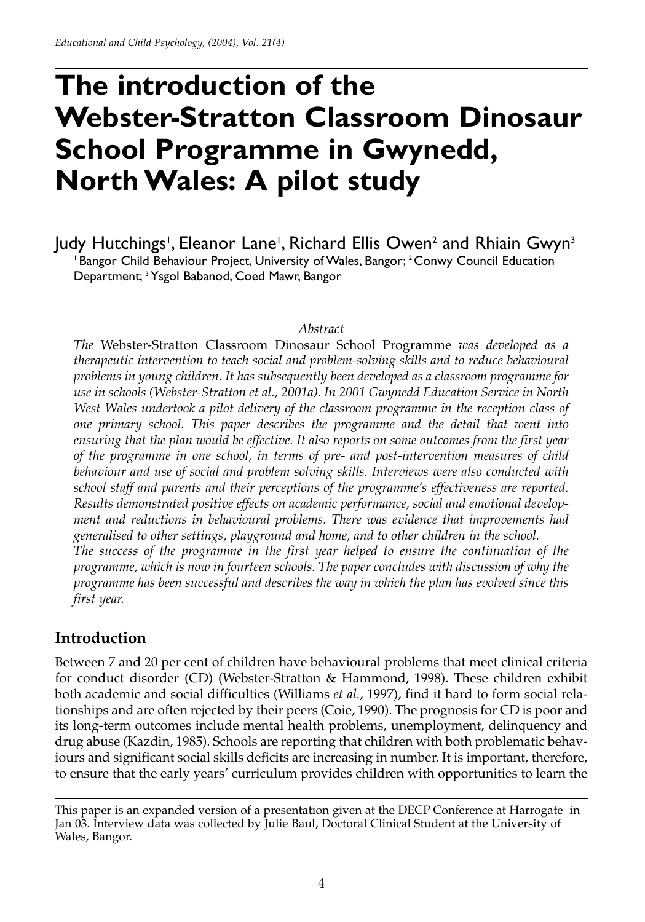# **The introduction of the Webster-Stratton Classroom Dinosaur School Programme in Gwynedd, North Wales: A pilot study**

Judy Hutchings', Eleanor Lane', Richard Ellis Owen<sup>2</sup> and Rhiain Gwyn<sup>3</sup> <sup>1</sup> Bangor Child Behaviour Project, University of Wales, Bangor; <sup>2</sup> Conwy Council Education Department; <sup>3</sup> Ysgol Babanod, Coed Mawr, Bangor

#### *Abstract*

*The* Webster-Stratton Classroom Dinosaur School Programme *was developed as a therapeutic intervention to teach social and problem-solving skills and to reduce behavioural problems in young children. It has subsequently been developed as a classroom programme for use in schools (Webster-Stratton et al., 2001a). In 2001 Gwynedd Education Service in North West Wales undertook a pilot delivery of the classroom programme in the reception class of one primary school. This paper describes the programme and the detail that went into ensuring that the plan would be effective. It also reports on some outcomes from the first year of the programme in one school, in terms of pre- and post-intervention measures of child behaviour and use of social and problem solving skills. Interviews were also conducted with school staff and parents and their perceptions of the programme's effectiveness are reported. Results demonstrated positive effects on academic performance, social and emotional development and reductions in behavioural problems. There was evidence that improvements had generalised to other settings, playground and home, and to other children in the school. The success of the programme in the first year helped to ensure the continuation of the programme, which is now in fourteen schools. The paper concludes with discussion of why the programme has been successful and describes the way in which the plan has evolved since this first year.* 

## **Introduction**

Between 7 and 20 per cent of children have behavioural problems that meet clinical criteria for conduct disorder (CD) (Webster-Stratton & Hammond, 1998). These children exhibit both academic and social difficulties (Williams *et al.*, 1997), find it hard to form social relationships and are often rejected by their peers (Coie, 1990). The prognosis for CD is poor and its long-term outcomes include mental health problems, unemployment, delinquency and drug abuse (Kazdin, 1985). Schools are reporting that children with both problematic behaviours and significant social skills deficits are increasing in number. It is important, therefore, to ensure that the early years' curriculum provides children with opportunities to learn the

This paper is an expanded version of a presentation given at the DECP Conference at Harrogate in Jan 03. Interview data was collected by Julie Baul, Doctoral Clinical Student at the University of Wales, Bangor.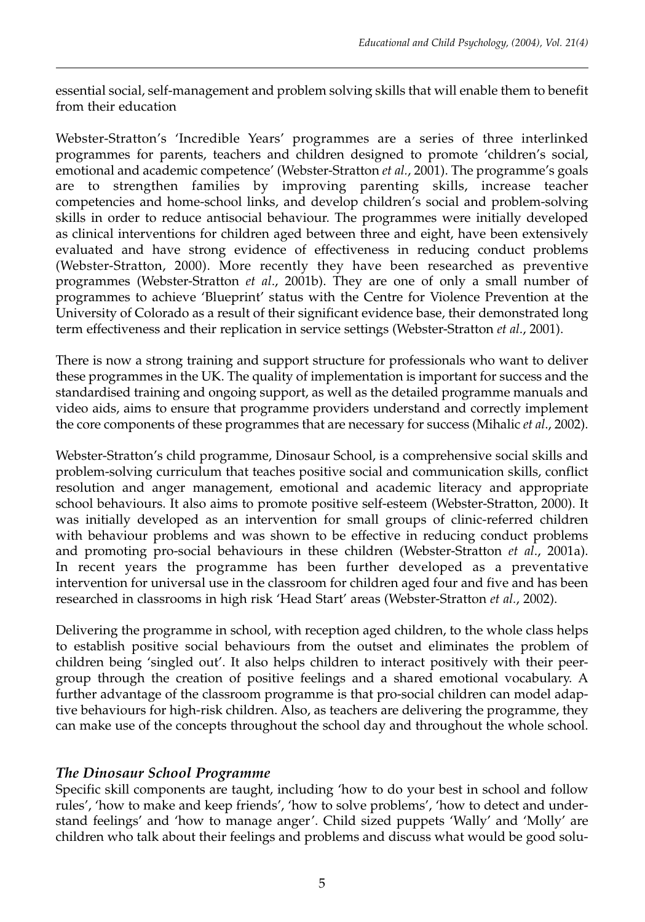essential social, self-management and problem solving skills that will enable them to benefit from their education

Webster-Stratton's 'Incredible Years' programmes are a series of three interlinked programmes for parents, teachers and children designed to promote 'children's social, emotional and academic competence' (Webster-Stratton *et al.*, 2001). The programme's goals are to strengthen families by improving parenting skills, increase teacher competencies and home-school links, and develop children's social and problem-solving skills in order to reduce antisocial behaviour. The programmes were initially developed as clinical interventions for children aged between three and eight, have been extensively evaluated and have strong evidence of effectiveness in reducing conduct problems (Webster-Stratton, 2000). More recently they have been researched as preventive programmes (Webster-Stratton *et al*., 2001b). They are one of only a small number of programmes to achieve 'Blueprint' status with the Centre for Violence Prevention at the University of Colorado as a result of their significant evidence base, their demonstrated long term effectiveness and their replication in service settings (Webster-Stratton *et al*., 2001).

There is now a strong training and support structure for professionals who want to deliver these programmes in the UK. The quality of implementation is important for success and the standardised training and ongoing support, as well as the detailed programme manuals and video aids, aims to ensure that programme providers understand and correctly implement the core components of these programmes that are necessary for success (Mihalic *et al*., 2002).

Webster-Stratton's child programme, Dinosaur School, is a comprehensive social skills and problem-solving curriculum that teaches positive social and communication skills, conflict resolution and anger management, emotional and academic literacy and appropriate school behaviours. It also aims to promote positive self-esteem (Webster-Stratton, 2000). It was initially developed as an intervention for small groups of clinic-referred children with behaviour problems and was shown to be effective in reducing conduct problems and promoting pro-social behaviours in these children (Webster-Stratton *et al*., 2001a). In recent years the programme has been further developed as a preventative intervention for universal use in the classroom for children aged four and five and has been researched in classrooms in high risk 'Head Start' areas (Webster-Stratton *et al.*, 2002).

Delivering the programme in school, with reception aged children, to the whole class helps to establish positive social behaviours from the outset and eliminates the problem of children being 'singled out'. It also helps children to interact positively with their peergroup through the creation of positive feelings and a shared emotional vocabulary. A further advantage of the classroom programme is that pro-social children can model adaptive behaviours for high-risk children. Also, as teachers are delivering the programme, they can make use of the concepts throughout the school day and throughout the whole school.

# *The Dinosaur School Programme*

Specific skill components are taught, including 'how to do your best in school and follow rules', 'how to make and keep friends', 'how to solve problems', 'how to detect and understand feelings' and 'how to manage anger'. Child sized puppets 'Wally' and 'Molly' are children who talk about their feelings and problems and discuss what would be good solu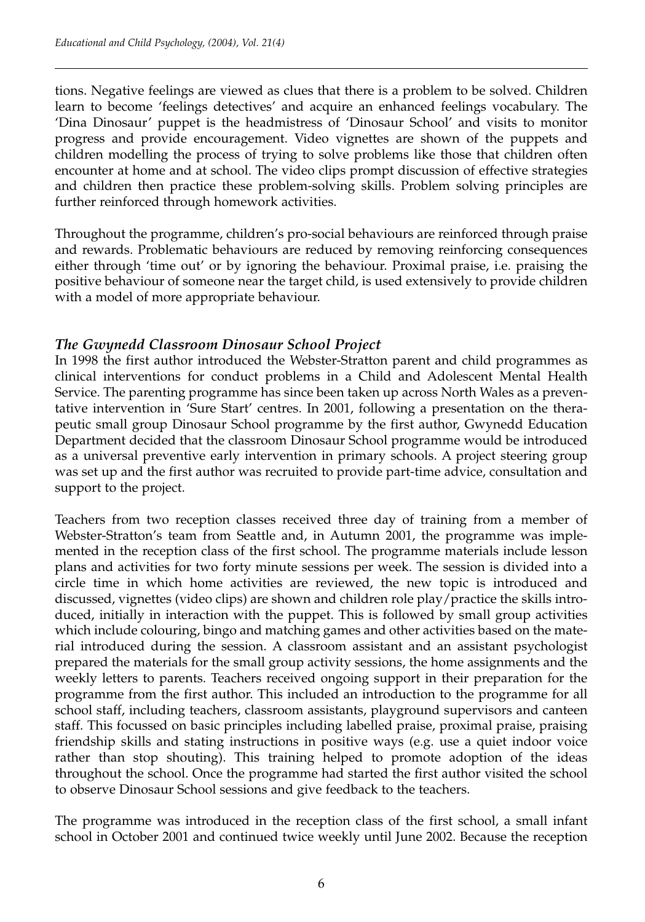tions. Negative feelings are viewed as clues that there is a problem to be solved. Children learn to become 'feelings detectives' and acquire an enhanced feelings vocabulary. The 'Dina Dinosaur' puppet is the headmistress of 'Dinosaur School' and visits to monitor progress and provide encouragement. Video vignettes are shown of the puppets and children modelling the process of trying to solve problems like those that children often encounter at home and at school. The video clips prompt discussion of effective strategies and children then practice these problem-solving skills. Problem solving principles are further reinforced through homework activities.

Throughout the programme, children's pro-social behaviours are reinforced through praise and rewards. Problematic behaviours are reduced by removing reinforcing consequences either through 'time out' or by ignoring the behaviour. Proximal praise, i.e. praising the positive behaviour of someone near the target child, is used extensively to provide children with a model of more appropriate behaviour.

# *The Gwynedd Classroom Dinosaur School Project*

In 1998 the first author introduced the Webster-Stratton parent and child programmes as clinical interventions for conduct problems in a Child and Adolescent Mental Health Service. The parenting programme has since been taken up across North Wales as a preventative intervention in 'Sure Start' centres. In 2001, following a presentation on the therapeutic small group Dinosaur School programme by the first author, Gwynedd Education Department decided that the classroom Dinosaur School programme would be introduced as a universal preventive early intervention in primary schools. A project steering group was set up and the first author was recruited to provide part-time advice, consultation and support to the project.

Teachers from two reception classes received three day of training from a member of Webster-Stratton's team from Seattle and, in Autumn 2001, the programme was implemented in the reception class of the first school. The programme materials include lesson plans and activities for two forty minute sessions per week. The session is divided into a circle time in which home activities are reviewed, the new topic is introduced and discussed, vignettes (video clips) are shown and children role play/practice the skills introduced, initially in interaction with the puppet. This is followed by small group activities which include colouring, bingo and matching games and other activities based on the material introduced during the session. A classroom assistant and an assistant psychologist prepared the materials for the small group activity sessions, the home assignments and the weekly letters to parents. Teachers received ongoing support in their preparation for the programme from the first author. This included an introduction to the programme for all school staff, including teachers, classroom assistants, playground supervisors and canteen staff. This focussed on basic principles including labelled praise, proximal praise, praising friendship skills and stating instructions in positive ways (e.g. use a quiet indoor voice rather than stop shouting). This training helped to promote adoption of the ideas throughout the school. Once the programme had started the first author visited the school to observe Dinosaur School sessions and give feedback to the teachers.

The programme was introduced in the reception class of the first school, a small infant school in October 2001 and continued twice weekly until June 2002. Because the reception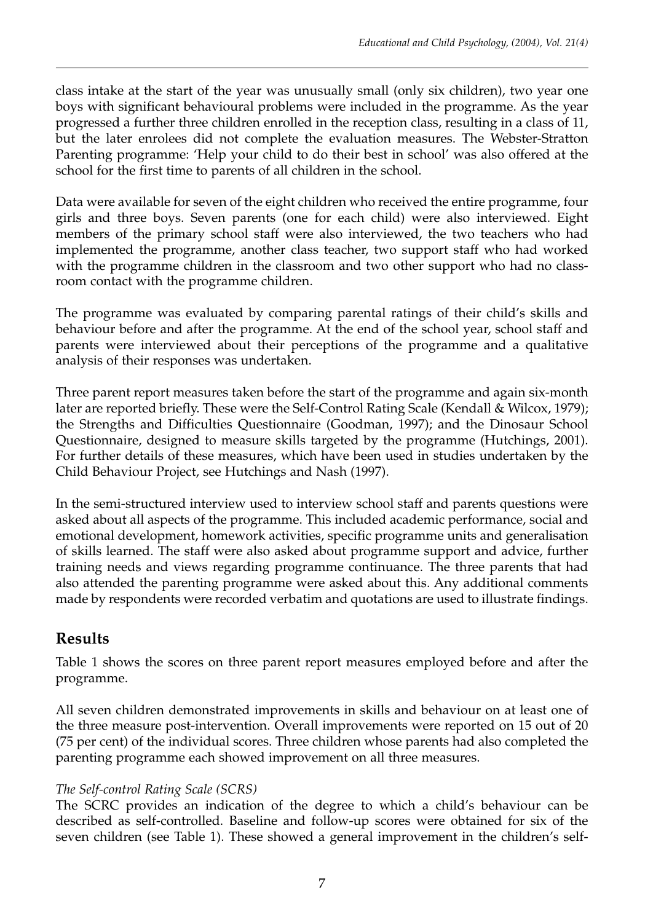class intake at the start of the year was unusually small (only six children), two year one boys with significant behavioural problems were included in the programme. As the year progressed a further three children enrolled in the reception class, resulting in a class of 11, but the later enrolees did not complete the evaluation measures. The Webster-Stratton Parenting programme: 'Help your child to do their best in school' was also offered at the school for the first time to parents of all children in the school.

Data were available for seven of the eight children who received the entire programme, four girls and three boys. Seven parents (one for each child) were also interviewed. Eight members of the primary school staff were also interviewed, the two teachers who had implemented the programme, another class teacher, two support staff who had worked with the programme children in the classroom and two other support who had no classroom contact with the programme children.

The programme was evaluated by comparing parental ratings of their child's skills and behaviour before and after the programme. At the end of the school year, school staff and parents were interviewed about their perceptions of the programme and a qualitative analysis of their responses was undertaken.

Three parent report measures taken before the start of the programme and again six-month later are reported briefly. These were the Self-Control Rating Scale (Kendall & Wilcox, 1979); the Strengths and Difficulties Questionnaire (Goodman, 1997); and the Dinosaur School Questionnaire, designed to measure skills targeted by the programme (Hutchings, 2001). For further details of these measures, which have been used in studies undertaken by the Child Behaviour Project, see Hutchings and Nash (1997).

In the semi-structured interview used to interview school staff and parents questions were asked about all aspects of the programme. This included academic performance, social and emotional development, homework activities, specific programme units and generalisation of skills learned. The staff were also asked about programme support and advice, further training needs and views regarding programme continuance. The three parents that had also attended the parenting programme were asked about this. Any additional comments made by respondents were recorded verbatim and quotations are used to illustrate findings.

# **Results**

Table 1 shows the scores on three parent report measures employed before and after the programme.

All seven children demonstrated improvements in skills and behaviour on at least one of the three measure post-intervention. Overall improvements were reported on 15 out of 20 (75 per cent) of the individual scores. Three children whose parents had also completed the parenting programme each showed improvement on all three measures.

# *The Self-control Rating Scale (SCRS)*

The SCRC provides an indication of the degree to which a child's behaviour can be described as self-controlled. Baseline and follow-up scores were obtained for six of the seven children (see Table 1). These showed a general improvement in the children's self-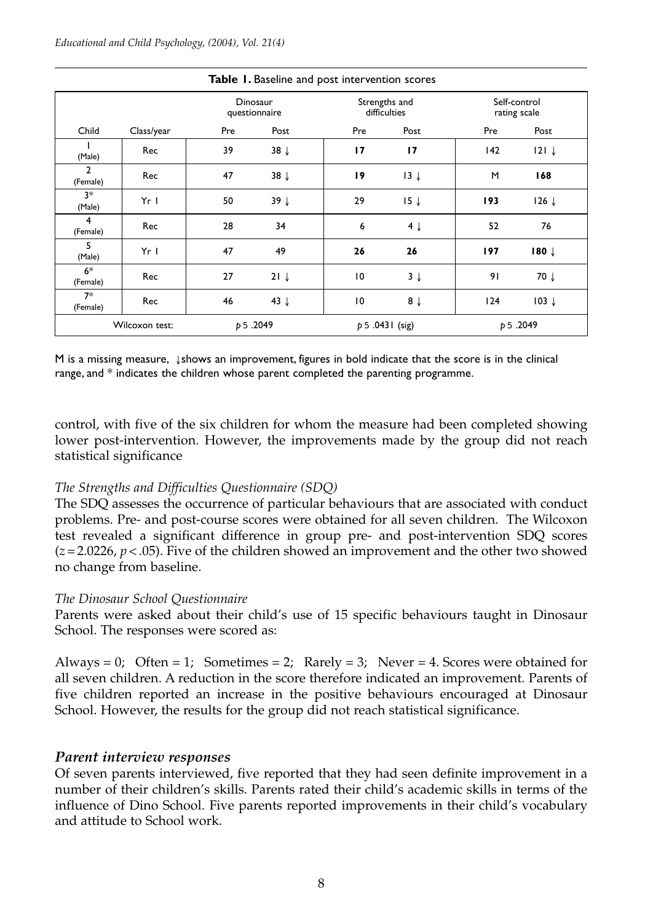| <b>Rapic 1.</b> Daschire and post intervention secres |                 |                           |                 |                               |                 |                              |                  |
|-------------------------------------------------------|-----------------|---------------------------|-----------------|-------------------------------|-----------------|------------------------------|------------------|
|                                                       |                 | Dinosaur<br>questionnaire |                 | Strengths and<br>difficulties |                 | Self-control<br>rating scale |                  |
| Child                                                 | Class/year      | Pre                       | Post            | Pre                           | Post            | Pre                          | Post             |
| (Male)                                                | Rec             | 39                        | $38 \downarrow$ | 17                            | 17              | 142                          | $121 \downarrow$ |
| $\overline{2}$<br>(Female)                            | Rec             | 47                        | $38 \downarrow$ | 19                            | $13 \downarrow$ | M                            | 168              |
| $3*$<br>(Male)                                        | Yr <sub>l</sub> | 50                        | $39 \downarrow$ | 29                            | 15 <sub>1</sub> | 193                          | $126 \downarrow$ |
| 4<br>(Female)                                         | Rec             | 28                        | 34              | 6                             | $4 \downarrow$  | 52                           | 76               |
| 5<br>(Male)                                           | Yr <sub>l</sub> | 47                        | 49              | 26                            | 26              | 197                          | $180 \downarrow$ |
| $6*$<br>(Female)                                      | Rec             | 27                        | $21 \downarrow$ | $\overline{10}$               | $3 \downarrow$  | 91                           | 70 ↓             |
| $7*$<br>(Female)                                      | Rec             | 46                        | 43 $\downarrow$ | 10                            | $8 \downarrow$  | 124                          | $103 \downarrow$ |
| Wilcoxon test:                                        |                 | p 5.2049                  |                 | $p 5.0431$ (sig)              |                 | p 5.2049                     |                  |

**Table 1.** Baseline and post intervention scores

M is a missing measure, ↓shows an improvement, figures in bold indicate that the score is in the clinical range, and \* indicates the children whose parent completed the parenting programme.

control, with five of the six children for whom the measure had been completed showing lower post-intervention. However, the improvements made by the group did not reach statistical significance

## *The Strengths and Difficulties Questionnaire (SDQ)*

The SDQ assesses the occurrence of particular behaviours that are associated with conduct problems. Pre- and post-course scores were obtained for all seven children. The Wilcoxon test revealed a significant difference in group pre- and post-intervention SDQ scores  $(z = 2.0226, p < .05)$ . Five of the children showed an improvement and the other two showed no change from baseline.

#### *The Dinosaur School Questionnaire*

Parents were asked about their child's use of 15 specific behaviours taught in Dinosaur School. The responses were scored as:

Always = 0; Often = 1; Sometimes = 2; Rarely = 3; Never = 4. Scores were obtained for all seven children. A reduction in the score therefore indicated an improvement. Parents of five children reported an increase in the positive behaviours encouraged at Dinosaur School. However, the results for the group did not reach statistical significance.

## *Parent interview responses*

Of seven parents interviewed, five reported that they had seen definite improvement in a number of their children's skills. Parents rated their child's academic skills in terms of the influence of Dino School. Five parents reported improvements in their child's vocabulary and attitude to School work.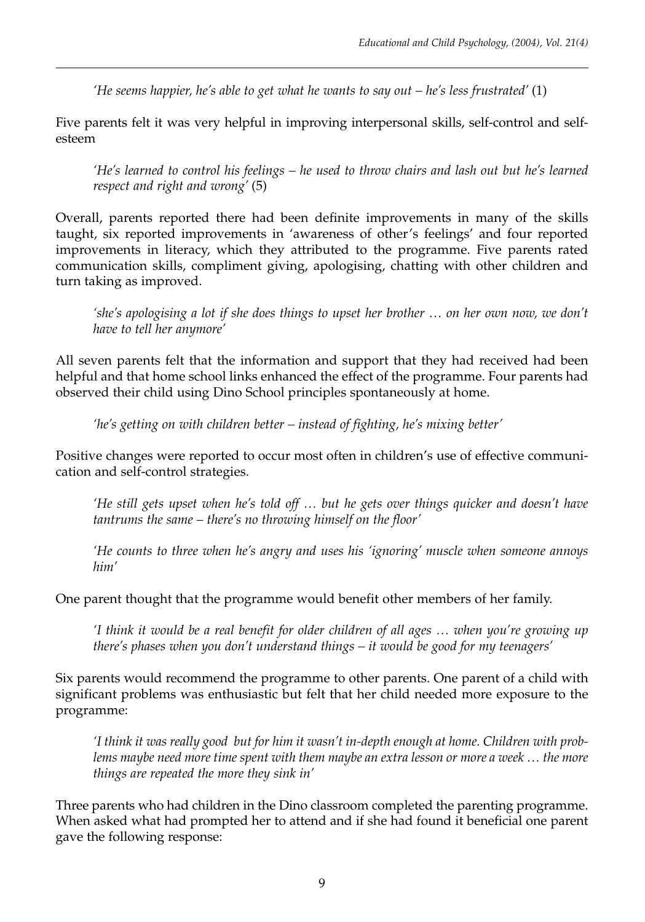*'He seems happier, he's able to get what he wants to say out – he's less frustrated'* (1)

Five parents felt it was very helpful in improving interpersonal skills, self-control and selfesteem

*'He's learned to control his feelings – he used to throw chairs and lash out but he's learned respect and right and wrong'* (5)

Overall, parents reported there had been definite improvements in many of the skills taught, six reported improvements in 'awareness of other's feelings' and four reported improvements in literacy, which they attributed to the programme. Five parents rated communication skills, compliment giving, apologising, chatting with other children and turn taking as improved.

*'she's apologising a lot if she does things to upset her brother … on her own now, we don't have to tell her anymore'*

All seven parents felt that the information and support that they had received had been helpful and that home school links enhanced the effect of the programme. Four parents had observed their child using Dino School principles spontaneously at home.

*'he's getting on with children better – instead of fighting, he's mixing better'*

Positive changes were reported to occur most often in children's use of effective communication and self-control strategies.

*'He still gets upset when he's told off … but he gets over things quicker and doesn't have tantrums the same – there's no throwing himself on the floor'*

*'He counts to three when he's angry and uses his 'ignoring' muscle when someone annoys him'*

One parent thought that the programme would benefit other members of her family.

*'I think it would be a real benefit for older children of all ages … when you're growing up there's phases when you don't understand things – it would be good for my teenagers'*

Six parents would recommend the programme to other parents. One parent of a child with significant problems was enthusiastic but felt that her child needed more exposure to the programme:

*'I think it was really good but for him it wasn't in-depth enough at home. Children with problems maybe need more time spent with them maybe an extra lesson or more a week … the more things are repeated the more they sink in'*

Three parents who had children in the Dino classroom completed the parenting programme. When asked what had prompted her to attend and if she had found it beneficial one parent gave the following response: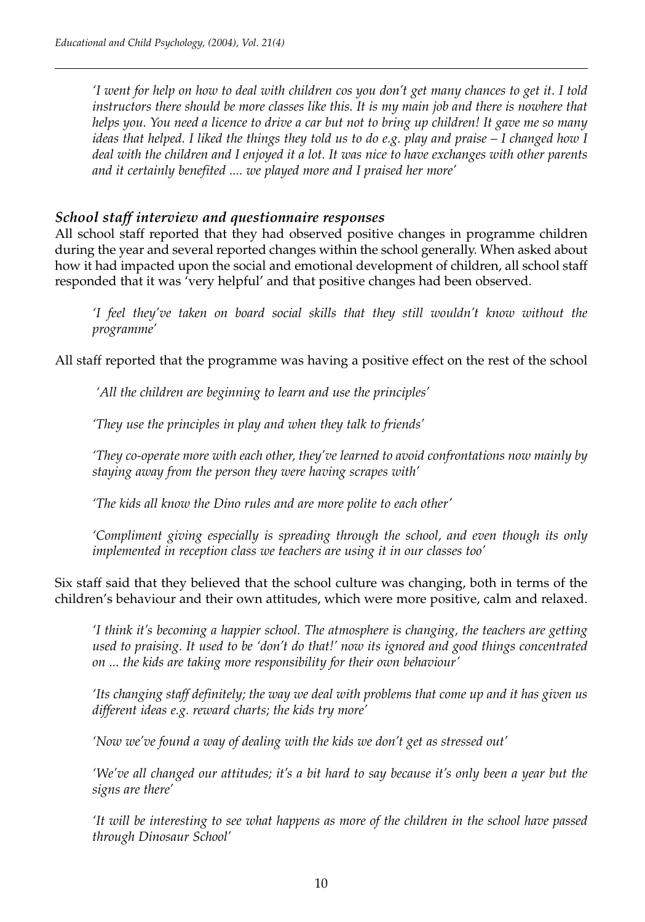*'I went for help on how to deal with children cos you don't get many chances to get it. I told instructors there should be more classes like this. It is my main job and there is nowhere that helps you. You need a licence to drive a car but not to bring up children! It gave me so many ideas that helped. I liked the things they told us to do e.g. play and praise – I changed how I deal with the children and I enjoyed it a lot. It was nice to have exchanges with other parents and it certainly benefited .... we played more and I praised her more'*

# *School staff interview and questionnaire responses*

All school staff reported that they had observed positive changes in programme children during the year and several reported changes within the school generally. When asked about how it had impacted upon the social and emotional development of children, all school staff responded that it was 'very helpful' and that positive changes had been observed.

*'I feel they've taken on board social skills that they still wouldn't know without the programme'*

All staff reported that the programme was having a positive effect on the rest of the school

*'All the children are beginning to learn and use the principles'*

*'They use the principles in play and when they talk to friends'*

*'They co-operate more with each other, they've learned to avoid confrontations now mainly by staying away from the person they were having scrapes with'*

*'The kids all know the Dino rules and are more polite to each other'*

*'Compliment giving especially is spreading through the school, and even though its only implemented in reception class we teachers are using it in our classes too'*

Six staff said that they believed that the school culture was changing, both in terms of the children's behaviour and their own attitudes, which were more positive, calm and relaxed.

*'I think it's becoming a happier school. The atmosphere is changing, the teachers are getting used to praising. It used to be 'don't do that!' now its ignored and good things concentrated on ... the kids are taking more responsibility for their own behaviour'*

*'Its changing staff definitely; the way we deal with problems that come up and it has given us different ideas e.g. reward charts; the kids try more'*

*'Now we've found a way of dealing with the kids we don't get as stressed out'*

*'We've all changed our attitudes; it's a bit hard to say because it's only been a year but the signs are there'*

*'It will be interesting to see what happens as more of the children in the school have passed through Dinosaur School'*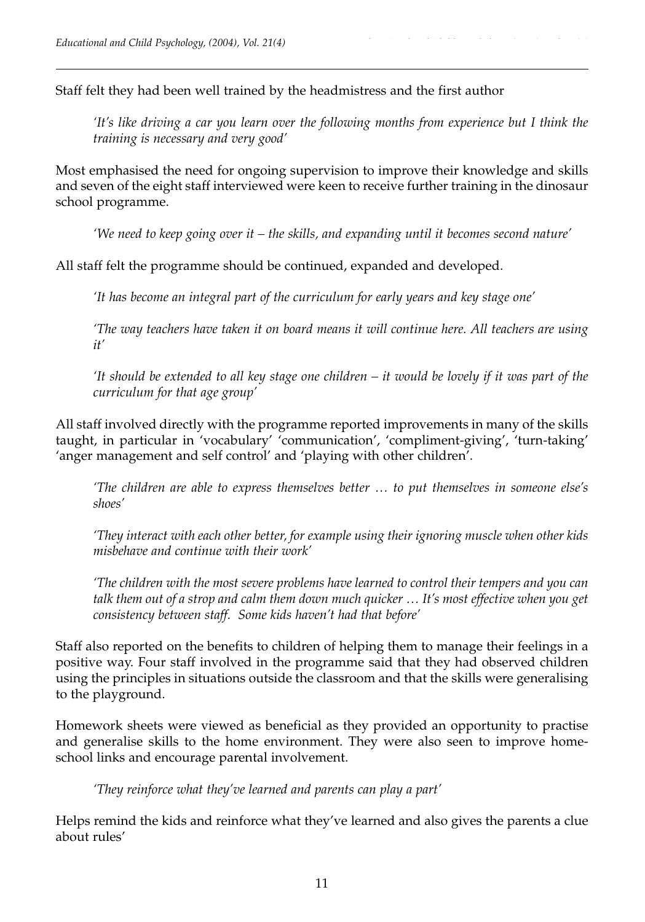Staff felt they had been well trained by the headmistress and the first author

*'It's like driving a car you learn over the following months from experience but I think the training is necessary and very good'*

Most emphasised the need for ongoing supervision to improve their knowledge and skills and seven of the eight staff interviewed were keen to receive further training in the dinosaur school programme.

*'We need to keep going over it – the skills, and expanding until it becomes second nature'*

All staff felt the programme should be continued, expanded and developed.

*'It has become an integral part of the curriculum for early years and key stage one'*

*'The way teachers have taken it on board means it will continue here. All teachers are using it'*

*'It should be extended to all key stage one children – it would be lovely if it was part of the curriculum for that age group'*

All staff involved directly with the programme reported improvements in many of the skills taught, in particular in 'vocabulary' 'communication', 'compliment-giving', 'turn-taking' 'anger management and self control' and 'playing with other children'.

*'The children are able to express themselves better … to put themselves in someone else's shoes'*

*'They interact with each other better, for example using their ignoring muscle when other kids misbehave and continue with their work'*

*'The children with the most severe problems have learned to control their tempers and you can talk them out of a strop and calm them down much quicker … It's most effective when you get consistency between staff. Some kids haven't had that before'*

Staff also reported on the benefits to children of helping them to manage their feelings in a positive way. Four staff involved in the programme said that they had observed children using the principles in situations outside the classroom and that the skills were generalising to the playground.

Homework sheets were viewed as beneficial as they provided an opportunity to practise and generalise skills to the home environment. They were also seen to improve homeschool links and encourage parental involvement.

*'They reinforce what they've learned and parents can play a part'*

Helps remind the kids and reinforce what they've learned and also gives the parents a clue about rules'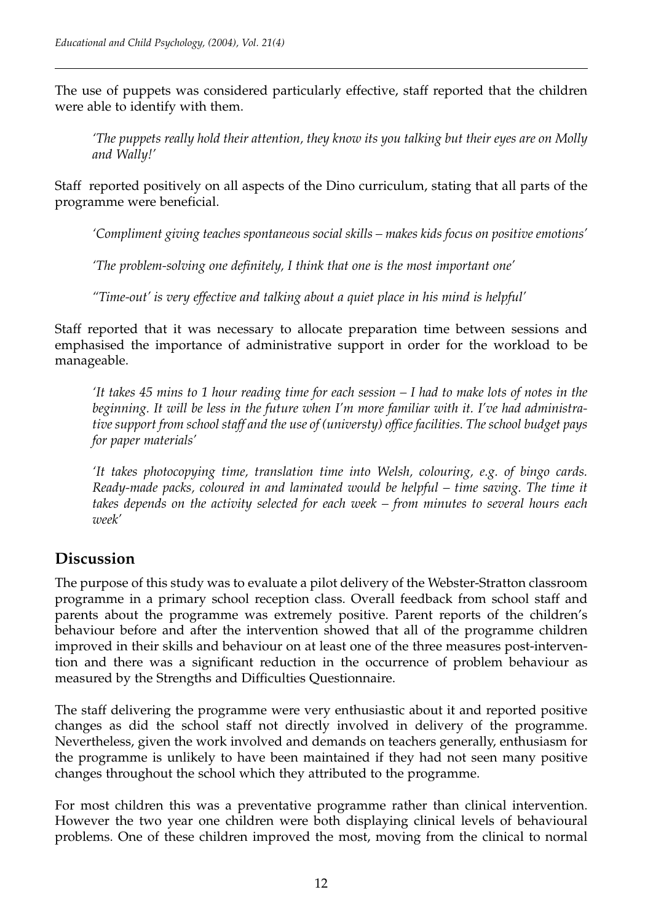The use of puppets was considered particularly effective, staff reported that the children were able to identify with them.

*'The puppets really hold their attention, they know its you talking but their eyes are on Molly and Wally!'*

Staff reported positively on all aspects of the Dino curriculum, stating that all parts of the programme were beneficial.

*'Compliment giving teaches spontaneous social skills – makes kids focus on positive emotions'*

*'The problem-solving one definitely, I think that one is the most important one'*

*''Time-out' is very effective and talking about a quiet place in his mind is helpful'*

Staff reported that it was necessary to allocate preparation time between sessions and emphasised the importance of administrative support in order for the workload to be manageable.

*'It takes 45 mins to 1 hour reading time for each session – I had to make lots of notes in the beginning. It will be less in the future when I'm more familiar with it. I've had administrative support from school staff and the use of (universty) office facilities. The school budget pays for paper materials'*

*'It takes photocopying time, translation time into Welsh, colouring, e.g. of bingo cards. Ready-made packs, coloured in and laminated would be helpful – time saving. The time it takes depends on the activity selected for each week – from minutes to several hours each week'*

# **Discussion**

The purpose of this study was to evaluate a pilot delivery of the Webster-Stratton classroom programme in a primary school reception class. Overall feedback from school staff and parents about the programme was extremely positive. Parent reports of the children's behaviour before and after the intervention showed that all of the programme children improved in their skills and behaviour on at least one of the three measures post-intervention and there was a significant reduction in the occurrence of problem behaviour as measured by the Strengths and Difficulties Questionnaire.

The staff delivering the programme were very enthusiastic about it and reported positive changes as did the school staff not directly involved in delivery of the programme. Nevertheless, given the work involved and demands on teachers generally, enthusiasm for the programme is unlikely to have been maintained if they had not seen many positive changes throughout the school which they attributed to the programme.

For most children this was a preventative programme rather than clinical intervention. However the two year one children were both displaying clinical levels of behavioural problems. One of these children improved the most, moving from the clinical to normal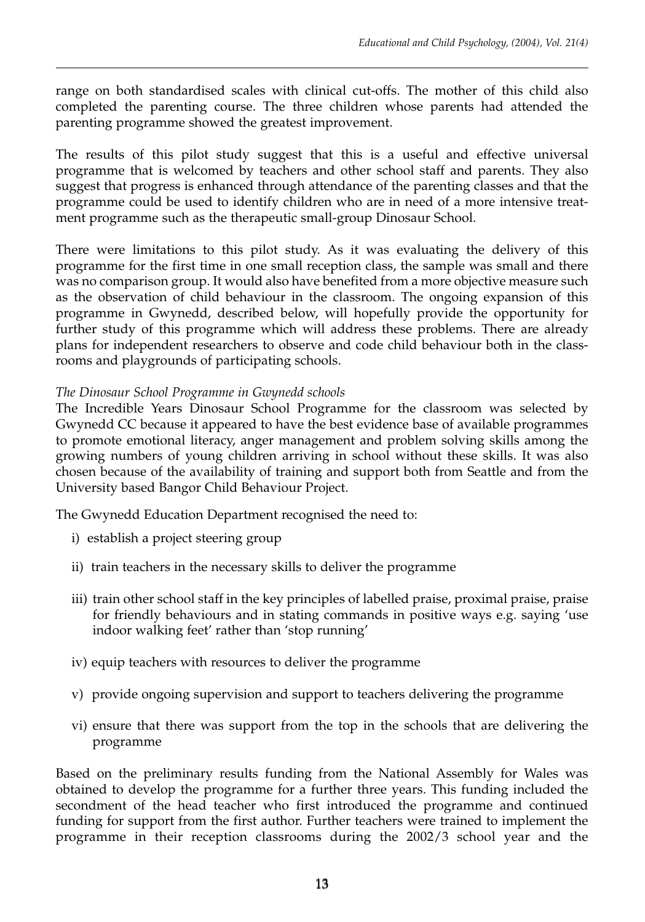range on both standardised scales with clinical cut-offs. The mother of this child also completed the parenting course. The three children whose parents had attended the parenting programme showed the greatest improvement.

The results of this pilot study suggest that this is a useful and effective universal programme that is welcomed by teachers and other school staff and parents. They also suggest that progress is enhanced through attendance of the parenting classes and that the programme could be used to identify children who are in need of a more intensive treatment programme such as the therapeutic small-group Dinosaur School.

There were limitations to this pilot study. As it was evaluating the delivery of this programme for the first time in one small reception class, the sample was small and there was no comparison group. It would also have benefited from a more objective measure such as the observation of child behaviour in the classroom. The ongoing expansion of this programme in Gwynedd, described below, will hopefully provide the opportunity for further study of this programme which will address these problems. There are already plans for independent researchers to observe and code child behaviour both in the classrooms and playgrounds of participating schools.

# *The Dinosaur School Programme in Gwynedd schools*

The Incredible Years Dinosaur School Programme for the classroom was selected by Gwynedd CC because it appeared to have the best evidence base of available programmes to promote emotional literacy, anger management and problem solving skills among the growing numbers of young children arriving in school without these skills. It was also chosen because of the availability of training and support both from Seattle and from the University based Bangor Child Behaviour Project.

The Gwynedd Education Department recognised the need to:

- i) establish a project steering group
- ii) train teachers in the necessary skills to deliver the programme
- iii) train other school staff in the key principles of labelled praise, proximal praise, praise for friendly behaviours and in stating commands in positive ways e.g. saying 'use indoor walking feet' rather than 'stop running'
- iv) equip teachers with resources to deliver the programme
- v) provide ongoing supervision and support to teachers delivering the programme
- vi) ensure that there was support from the top in the schools that are delivering the programme

Based on the preliminary results funding from the National Assembly for Wales was obtained to develop the programme for a further three years. This funding included the secondment of the head teacher who first introduced the programme and continued funding for support from the first author. Further teachers were trained to implement the programme in their reception classrooms during the 2002/3 school year and the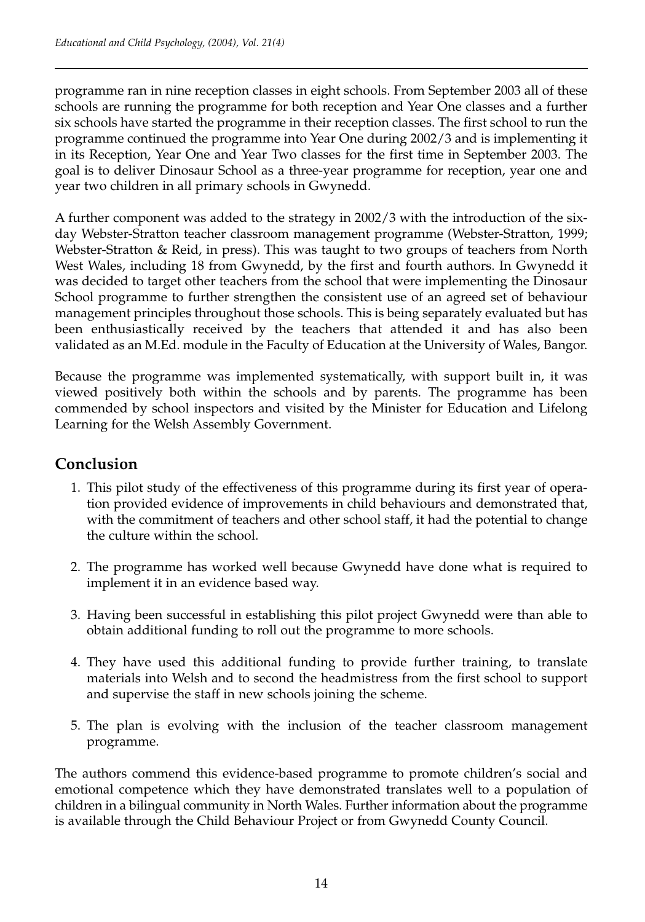programme ran in nine reception classes in eight schools. From September 2003 all of these schools are running the programme for both reception and Year One classes and a further six schools have started the programme in their reception classes. The first school to run the programme continued the programme into Year One during 2002/3 and is implementing it in its Reception, Year One and Year Two classes for the first time in September 2003. The goal is to deliver Dinosaur School as a three-year programme for reception, year one and year two children in all primary schools in Gwynedd.

A further component was added to the strategy in 2002/3 with the introduction of the sixday Webster-Stratton teacher classroom management programme (Webster-Stratton, 1999; Webster-Stratton & Reid, in press). This was taught to two groups of teachers from North West Wales, including 18 from Gwynedd, by the first and fourth authors. In Gwynedd it was decided to target other teachers from the school that were implementing the Dinosaur School programme to further strengthen the consistent use of an agreed set of behaviour management principles throughout those schools. This is being separately evaluated but has been enthusiastically received by the teachers that attended it and has also been validated as an M.Ed. module in the Faculty of Education at the University of Wales, Bangor.

Because the programme was implemented systematically, with support built in, it was viewed positively both within the schools and by parents. The programme has been commended by school inspectors and visited by the Minister for Education and Lifelong Learning for the Welsh Assembly Government.

# **Conclusion**

- 1. This pilot study of the effectiveness of this programme during its first year of operation provided evidence of improvements in child behaviours and demonstrated that, with the commitment of teachers and other school staff, it had the potential to change the culture within the school.
- 2. The programme has worked well because Gwynedd have done what is required to implement it in an evidence based way.
- 3. Having been successful in establishing this pilot project Gwynedd were than able to obtain additional funding to roll out the programme to more schools.
- 4. They have used this additional funding to provide further training, to translate materials into Welsh and to second the headmistress from the first school to support and supervise the staff in new schools joining the scheme.
- 5. The plan is evolving with the inclusion of the teacher classroom management programme.

The authors commend this evidence-based programme to promote children's social and emotional competence which they have demonstrated translates well to a population of children in a bilingual community in North Wales. Further information about the programme is available through the Child Behaviour Project or from Gwynedd County Council.